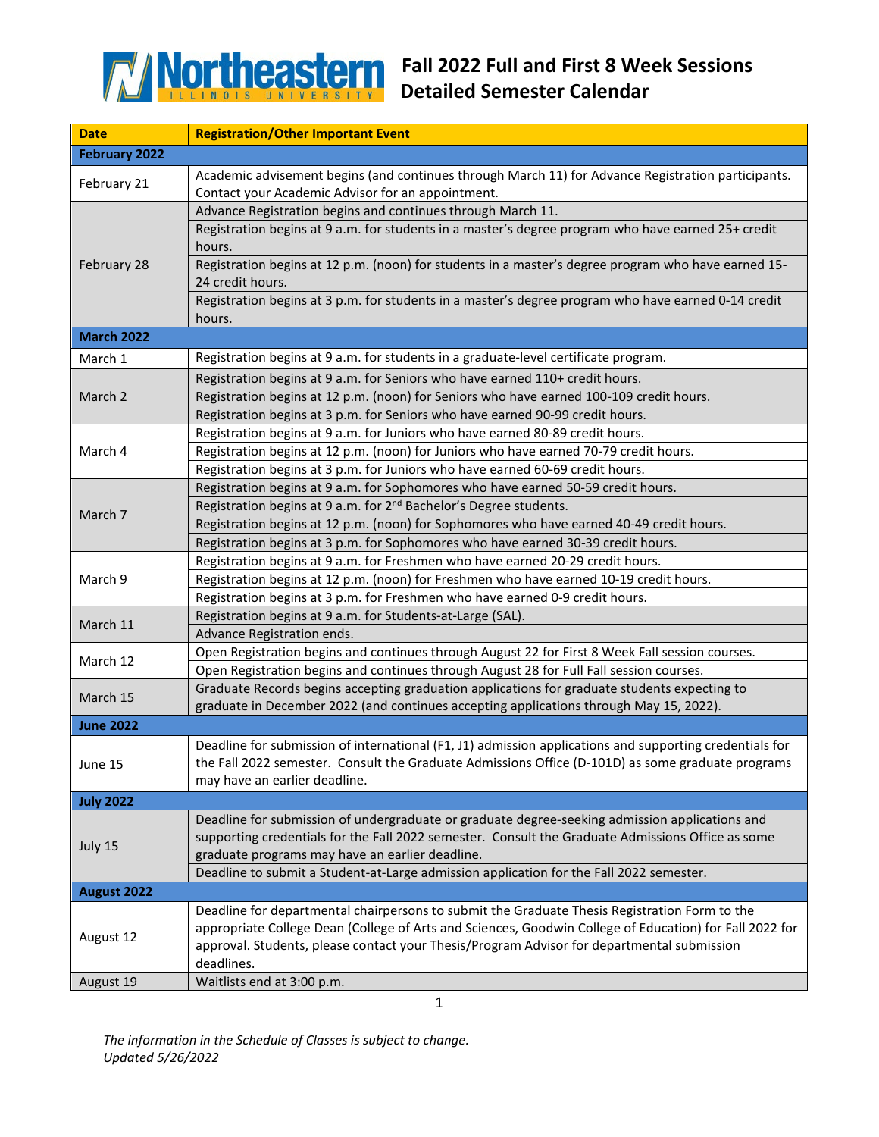

| <b>Date</b>          | <b>Registration/Other Important Event</b>                                                                                                                                                             |  |
|----------------------|-------------------------------------------------------------------------------------------------------------------------------------------------------------------------------------------------------|--|
| <b>February 2022</b> |                                                                                                                                                                                                       |  |
|                      | Academic advisement begins (and continues through March 11) for Advance Registration participants.                                                                                                    |  |
| February 21          | Contact your Academic Advisor for an appointment.                                                                                                                                                     |  |
| February 28          | Advance Registration begins and continues through March 11.                                                                                                                                           |  |
|                      | Registration begins at 9 a.m. for students in a master's degree program who have earned 25+ credit                                                                                                    |  |
|                      | hours.                                                                                                                                                                                                |  |
|                      | Registration begins at 12 p.m. (noon) for students in a master's degree program who have earned 15-<br>24 credit hours.                                                                               |  |
|                      | Registration begins at 3 p.m. for students in a master's degree program who have earned 0-14 credit                                                                                                   |  |
|                      | hours.                                                                                                                                                                                                |  |
| <b>March 2022</b>    |                                                                                                                                                                                                       |  |
| March 1              | Registration begins at 9 a.m. for students in a graduate-level certificate program.                                                                                                                   |  |
| March 2              | Registration begins at 9 a.m. for Seniors who have earned 110+ credit hours.                                                                                                                          |  |
|                      | Registration begins at 12 p.m. (noon) for Seniors who have earned 100-109 credit hours.                                                                                                               |  |
|                      | Registration begins at 3 p.m. for Seniors who have earned 90-99 credit hours.                                                                                                                         |  |
|                      | Registration begins at 9 a.m. for Juniors who have earned 80-89 credit hours.                                                                                                                         |  |
| March 4              | Registration begins at 12 p.m. (noon) for Juniors who have earned 70-79 credit hours.                                                                                                                 |  |
|                      | Registration begins at 3 p.m. for Juniors who have earned 60-69 credit hours.                                                                                                                         |  |
|                      | Registration begins at 9 a.m. for Sophomores who have earned 50-59 credit hours.                                                                                                                      |  |
|                      | Registration begins at 9 a.m. for 2 <sup>nd</sup> Bachelor's Degree students.                                                                                                                         |  |
| March 7              | Registration begins at 12 p.m. (noon) for Sophomores who have earned 40-49 credit hours.                                                                                                              |  |
|                      | Registration begins at 3 p.m. for Sophomores who have earned 30-39 credit hours.                                                                                                                      |  |
|                      | Registration begins at 9 a.m. for Freshmen who have earned 20-29 credit hours.                                                                                                                        |  |
| March 9              | Registration begins at 12 p.m. (noon) for Freshmen who have earned 10-19 credit hours.                                                                                                                |  |
|                      | Registration begins at 3 p.m. for Freshmen who have earned 0-9 credit hours.                                                                                                                          |  |
|                      | Registration begins at 9 a.m. for Students-at-Large (SAL).                                                                                                                                            |  |
| March 11             | Advance Registration ends.                                                                                                                                                                            |  |
|                      | Open Registration begins and continues through August 22 for First 8 Week Fall session courses.                                                                                                       |  |
| March 12             | Open Registration begins and continues through August 28 for Full Fall session courses.                                                                                                               |  |
| March 15             | Graduate Records begins accepting graduation applications for graduate students expecting to                                                                                                          |  |
|                      | graduate in December 2022 (and continues accepting applications through May 15, 2022).                                                                                                                |  |
| <b>June 2022</b>     |                                                                                                                                                                                                       |  |
|                      | Deadline for submission of international (F1, J1) admission applications and supporting credentials for                                                                                               |  |
| June 15              | the Fall 2022 semester. Consult the Graduate Admissions Office (D-101D) as some graduate programs                                                                                                     |  |
|                      | may have an earlier deadline.                                                                                                                                                                         |  |
| <b>July 2022</b>     |                                                                                                                                                                                                       |  |
|                      | Deadline for submission of undergraduate or graduate degree-seeking admission applications and                                                                                                        |  |
| July 15              | supporting credentials for the Fall 2022 semester. Consult the Graduate Admissions Office as some                                                                                                     |  |
|                      | graduate programs may have an earlier deadline.                                                                                                                                                       |  |
|                      | Deadline to submit a Student-at-Large admission application for the Fall 2022 semester.                                                                                                               |  |
| August 2022          |                                                                                                                                                                                                       |  |
| August 12            | Deadline for departmental chairpersons to submit the Graduate Thesis Registration Form to the                                                                                                         |  |
|                      | appropriate College Dean (College of Arts and Sciences, Goodwin College of Education) for Fall 2022 for<br>approval. Students, please contact your Thesis/Program Advisor for departmental submission |  |
|                      | deadlines.                                                                                                                                                                                            |  |
| August 19            | Waitlists end at 3:00 p.m.                                                                                                                                                                            |  |

*The information in the Schedule of Classes is subject to change. Updated 5/26/2022*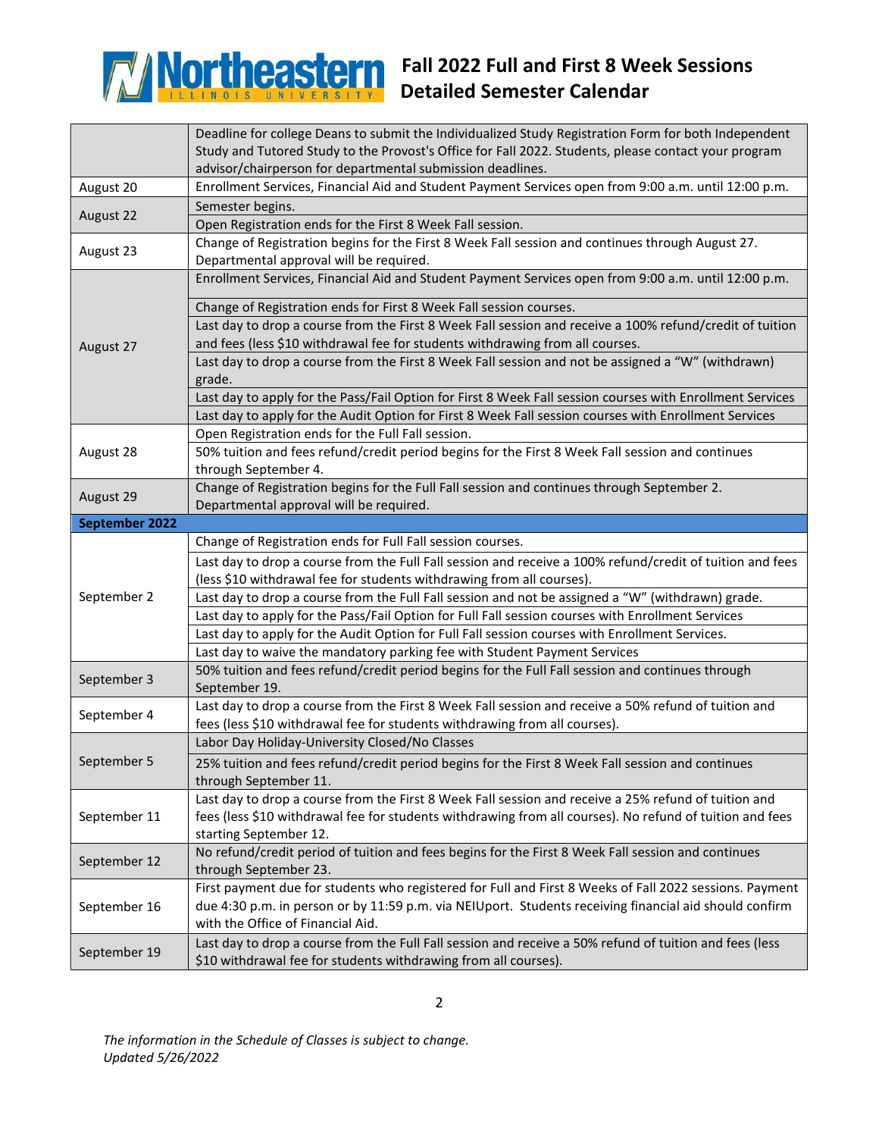

## **Fall 2022 Full and First 8 Week Sessions Detailed Semester Calendar**

|                | Deadline for college Deans to submit the Individualized Study Registration Form for both Independent                                        |
|----------------|---------------------------------------------------------------------------------------------------------------------------------------------|
|                | Study and Tutored Study to the Provost's Office for Fall 2022. Students, please contact your program                                        |
|                | advisor/chairperson for departmental submission deadlines.                                                                                  |
| August 20      | Enrollment Services, Financial Aid and Student Payment Services open from 9:00 a.m. until 12:00 p.m.                                        |
| August 22      | Semester begins.                                                                                                                            |
|                | Open Registration ends for the First 8 Week Fall session.                                                                                   |
| August 23      | Change of Registration begins for the First 8 Week Fall session and continues through August 27.<br>Departmental approval will be required. |
| August 27      | Enrollment Services, Financial Aid and Student Payment Services open from 9:00 a.m. until 12:00 p.m.                                        |
|                | Change of Registration ends for First 8 Week Fall session courses.                                                                          |
|                | Last day to drop a course from the First 8 Week Fall session and receive a 100% refund/credit of tuition                                    |
|                | and fees (less \$10 withdrawal fee for students withdrawing from all courses.                                                               |
|                | Last day to drop a course from the First 8 Week Fall session and not be assigned a "W" (withdrawn)                                          |
|                | grade.                                                                                                                                      |
|                | Last day to apply for the Pass/Fail Option for First 8 Week Fall session courses with Enrollment Services                                   |
|                | Last day to apply for the Audit Option for First 8 Week Fall session courses with Enrollment Services                                       |
|                | Open Registration ends for the Full Fall session.                                                                                           |
| August 28      | 50% tuition and fees refund/credit period begins for the First 8 Week Fall session and continues                                            |
|                | through September 4.                                                                                                                        |
| August 29      | Change of Registration begins for the Full Fall session and continues through September 2.                                                  |
|                | Departmental approval will be required.                                                                                                     |
| September 2022 |                                                                                                                                             |
|                | Change of Registration ends for Full Fall session courses.                                                                                  |
|                | Last day to drop a course from the Full Fall session and receive a 100% refund/credit of tuition and fees                                   |
|                | (less \$10 withdrawal fee for students withdrawing from all courses).                                                                       |
| September 2    | Last day to drop a course from the Full Fall session and not be assigned a "W" (withdrawn) grade.                                           |
|                | Last day to apply for the Pass/Fail Option for Full Fall session courses with Enrollment Services                                           |
|                | Last day to apply for the Audit Option for Full Fall session courses with Enrollment Services.                                              |
|                | Last day to waive the mandatory parking fee with Student Payment Services                                                                   |
| September 3    | 50% tuition and fees refund/credit period begins for the Full Fall session and continues through<br>September 19.                           |
| September 4    | Last day to drop a course from the First 8 Week Fall session and receive a 50% refund of tuition and                                        |
|                | fees (less \$10 withdrawal fee for students withdrawing from all courses).                                                                  |
|                | Labor Day Holiday-University Closed/No Classes                                                                                              |
| September 5    | 25% tuition and fees refund/credit period begins for the First 8 Week Fall session and continues                                            |
|                | through September 11.                                                                                                                       |
|                |                                                                                                                                             |
| September 11   | Last day to drop a course from the First 8 Week Fall session and receive a 25% refund of tuition and                                        |
|                | fees (less \$10 withdrawal fee for students withdrawing from all courses). No refund of tuition and fees                                    |
|                | starting September 12.                                                                                                                      |
|                | No refund/credit period of tuition and fees begins for the First 8 Week Fall session and continues                                          |
| September 12   | through September 23.                                                                                                                       |
|                | First payment due for students who registered for Full and First 8 Weeks of Fall 2022 sessions. Payment                                     |
| September 16   | due 4:30 p.m. in person or by 11:59 p.m. via NEIUport. Students receiving financial aid should confirm                                      |
|                | with the Office of Financial Aid.                                                                                                           |
| September 19   | Last day to drop a course from the Full Fall session and receive a 50% refund of tuition and fees (less                                     |